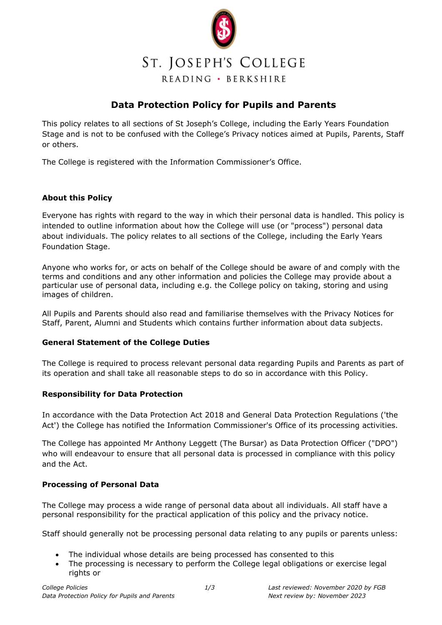

# **Data Protection Policy for Pupils and Parents**

This policy relates to all sections of St Joseph's College, including the Early Years Foundation Stage and is not to be confused with the College's Privacy notices aimed at Pupils, Parents, Staff or others.

The College is registered with the Information Commissioner's Office.

## **About this Policy**

Everyone has rights with regard to the way in which their personal data is handled. This policy is intended to outline information about how the College will use (or "process") personal data about individuals. The policy relates to all sections of the College, including the Early Years Foundation Stage.

Anyone who works for, or acts on behalf of the College should be aware of and comply with the terms and conditions and any other information and policies the College may provide about a particular use of personal data, including e.g. the College policy on taking, storing and using images of children.

All Pupils and Parents should also read and familiarise themselves with the Privacy Notices for Staff, Parent, Alumni and Students which contains further information about data subjects.

#### **General Statement of the College Duties**

The College is required to process relevant personal data regarding Pupils and Parents as part of its operation and shall take all reasonable steps to do so in accordance with this Policy.

#### **Responsibility for Data Protection**

In accordance with the Data Protection Act 2018 and General Data Protection Regulations ('the Act') the College has notified the Information Commissioner's Office of its processing activities.

The College has appointed Mr Anthony Leggett (The Bursar) as Data Protection Officer ("DPO") who will endeavour to ensure that all personal data is processed in compliance with this policy and the Act.

#### **Processing of Personal Data**

The College may process a wide range of personal data about all individuals. All staff have a personal responsibility for the practical application of this policy and the privacy notice.

Staff should generally not be processing personal data relating to any pupils or parents unless:

- The individual whose details are being processed has consented to this
- The processing is necessary to perform the College legal obligations or exercise legal rights or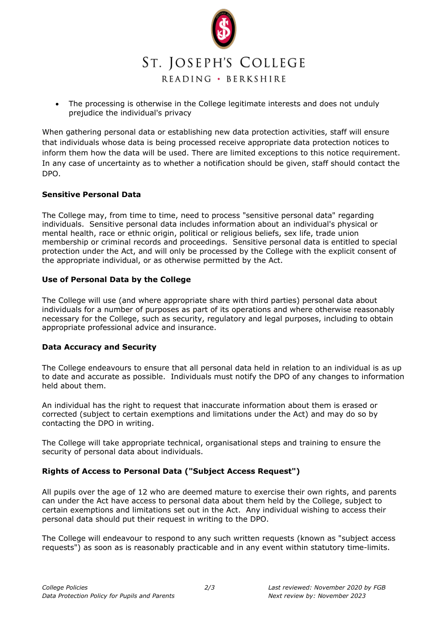

• The processing is otherwise in the College legitimate interests and does not unduly prejudice the individual's privacy

When gathering personal data or establishing new data protection activities, staff will ensure that individuals whose data is being processed receive appropriate data protection notices to inform them how the data will be used. There are limited exceptions to this notice requirement. In any case of uncertainty as to whether a notification should be given, staff should contact the DPO.

#### **Sensitive Personal Data**

The College may, from time to time, need to process "sensitive personal data" regarding individuals. Sensitive personal data includes information about an individual's physical or mental health, race or ethnic origin, political or religious beliefs, sex life, trade union membership or criminal records and proceedings. Sensitive personal data is entitled to special protection under the Act, and will only be processed by the College with the explicit consent of the appropriate individual, or as otherwise permitted by the Act.

#### **Use of Personal Data by the College**

The College will use (and where appropriate share with third parties) personal data about individuals for a number of purposes as part of its operations and where otherwise reasonably necessary for the College, such as security, regulatory and legal purposes, including to obtain appropriate professional advice and insurance.

#### **Data Accuracy and Security**

The College endeavours to ensure that all personal data held in relation to an individual is as up to date and accurate as possible. Individuals must notify the DPO of any changes to information held about them.

An individual has the right to request that inaccurate information about them is erased or corrected (subject to certain exemptions and limitations under the Act) and may do so by contacting the DPO in writing.

The College will take appropriate technical, organisational steps and training to ensure the security of personal data about individuals.

#### **Rights of Access to Personal Data ("Subject Access Request")**

All pupils over the age of 12 who are deemed mature to exercise their own rights, and parents can under the Act have access to personal data about them held by the College, subject to certain exemptions and limitations set out in the Act. Any individual wishing to access their personal data should put their request in writing to the DPO.

The College will endeavour to respond to any such written requests (known as "subject access requests") as soon as is reasonably practicable and in any event within statutory time-limits.